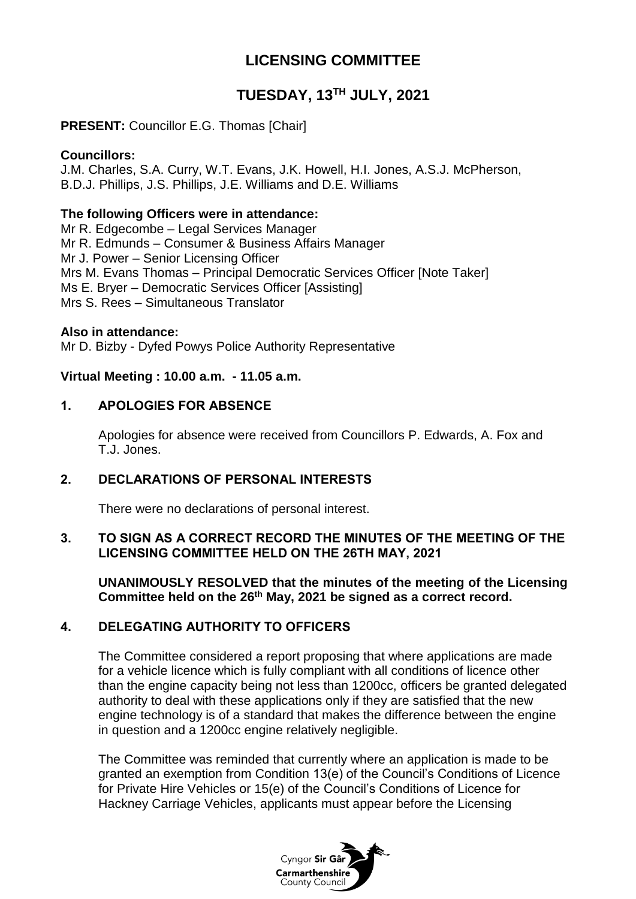# **LICENSING COMMITTEE**

# **TUESDAY, 13TH JULY, 2021**

# **PRESENT: Councillor E.G. Thomas [Chair]**

# **Councillors:**

J.M. Charles, S.A. Curry, W.T. Evans, J.K. Howell, H.I. Jones, A.S.J. McPherson, B.D.J. Phillips, J.S. Phillips, J.E. Williams and D.E. Williams

## **The following Officers were in attendance:**

Mr R. Edgecombe – Legal Services Manager Mr R. Edmunds – Consumer & Business Affairs Manager Mr J. Power – Senior Licensing Officer Mrs M. Evans Thomas – Principal Democratic Services Officer [Note Taker] Ms E. Bryer – Democratic Services Officer [Assisting] Mrs S. Rees – Simultaneous Translator

## **Also in attendance:**

Mr D. Bizby - Dyfed Powys Police Authority Representative

## **Virtual Meeting : 10.00 a.m. - 11.05 a.m.**

# **1. APOLOGIES FOR ABSENCE**

Apologies for absence were received from Councillors P. Edwards, A. Fox and T.J. Jones.

# **2. DECLARATIONS OF PERSONAL INTERESTS**

There were no declarations of personal interest.

# **3. TO SIGN AS A CORRECT RECORD THE MINUTES OF THE MEETING OF THE LICENSING COMMITTEE HELD ON THE 26TH MAY, 2021**

**UNANIMOUSLY RESOLVED that the minutes of the meeting of the Licensing Committee held on the 26th May, 2021 be signed as a correct record.**

# **4. DELEGATING AUTHORITY TO OFFICERS**

The Committee considered a report proposing that where applications are made for a vehicle licence which is fully compliant with all conditions of licence other than the engine capacity being not less than 1200cc, officers be granted delegated authority to deal with these applications only if they are satisfied that the new engine technology is of a standard that makes the difference between the engine in question and a 1200cc engine relatively negligible.

The Committee was reminded that currently where an application is made to be granted an exemption from Condition 13(e) of the Council's Conditions of Licence for Private Hire Vehicles or 15(e) of the Council's Conditions of Licence for Hackney Carriage Vehicles, applicants must appear before the Licensing

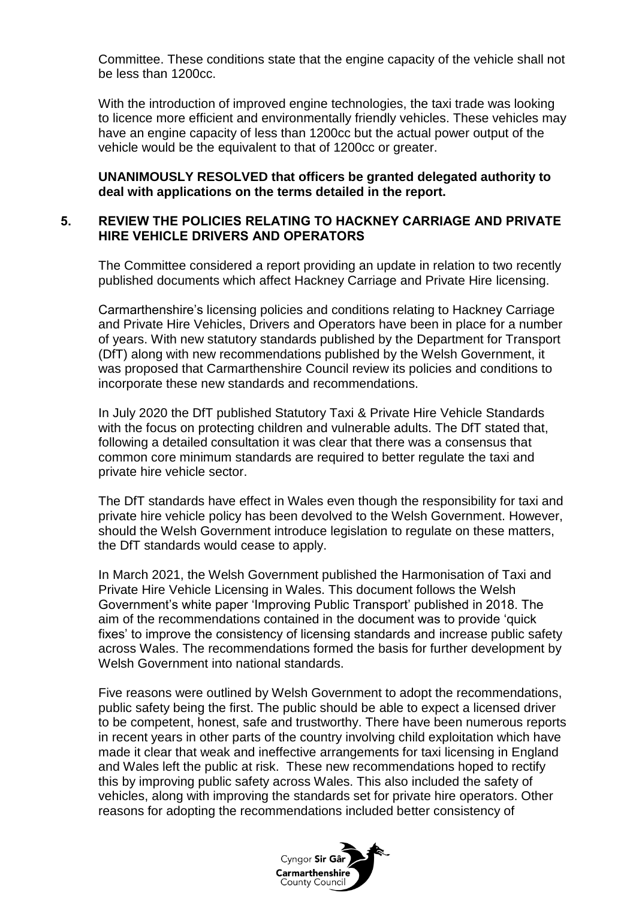Committee. These conditions state that the engine capacity of the vehicle shall not be less than 1200cc.

With the introduction of improved engine technologies, the taxi trade was looking to licence more efficient and environmentally friendly vehicles. These vehicles may have an engine capacity of less than 1200cc but the actual power output of the vehicle would be the equivalent to that of 1200cc or greater.

**UNANIMOUSLY RESOLVED that officers be granted delegated authority to deal with applications on the terms detailed in the report.** 

## **5. REVIEW THE POLICIES RELATING TO HACKNEY CARRIAGE AND PRIVATE HIRE VEHICLE DRIVERS AND OPERATORS**

The Committee considered a report providing an update in relation to two recently published documents which affect Hackney Carriage and Private Hire licensing.

Carmarthenshire's licensing policies and conditions relating to Hackney Carriage and Private Hire Vehicles, Drivers and Operators have been in place for a number of years. With new statutory standards published by the Department for Transport (DfT) along with new recommendations published by the Welsh Government, it was proposed that Carmarthenshire Council review its policies and conditions to incorporate these new standards and recommendations.

In July 2020 the DfT published Statutory Taxi & Private Hire Vehicle Standards with the focus on protecting children and vulnerable adults. The DfT stated that, following a detailed consultation it was clear that there was a consensus that common core minimum standards are required to better regulate the taxi and private hire vehicle sector.

The DfT standards have effect in Wales even though the responsibility for taxi and private hire vehicle policy has been devolved to the Welsh Government. However, should the Welsh Government introduce legislation to regulate on these matters, the DfT standards would cease to apply.

In March 2021, the Welsh Government published the Harmonisation of Taxi and Private Hire Vehicle Licensing in Wales. This document follows the Welsh Government's white paper 'Improving Public Transport' published in 2018. The aim of the recommendations contained in the document was to provide 'quick fixes' to improve the consistency of licensing standards and increase public safety across Wales. The recommendations formed the basis for further development by Welsh Government into national standards.

Five reasons were outlined by Welsh Government to adopt the recommendations, public safety being the first. The public should be able to expect a licensed driver to be competent, honest, safe and trustworthy. There have been numerous reports in recent years in other parts of the country involving child exploitation which have made it clear that weak and ineffective arrangements for taxi licensing in England and Wales left the public at risk. These new recommendations hoped to rectify this by improving public safety across Wales. This also included the safety of vehicles, along with improving the standards set for private hire operators. Other reasons for adopting the recommendations included better consistency of

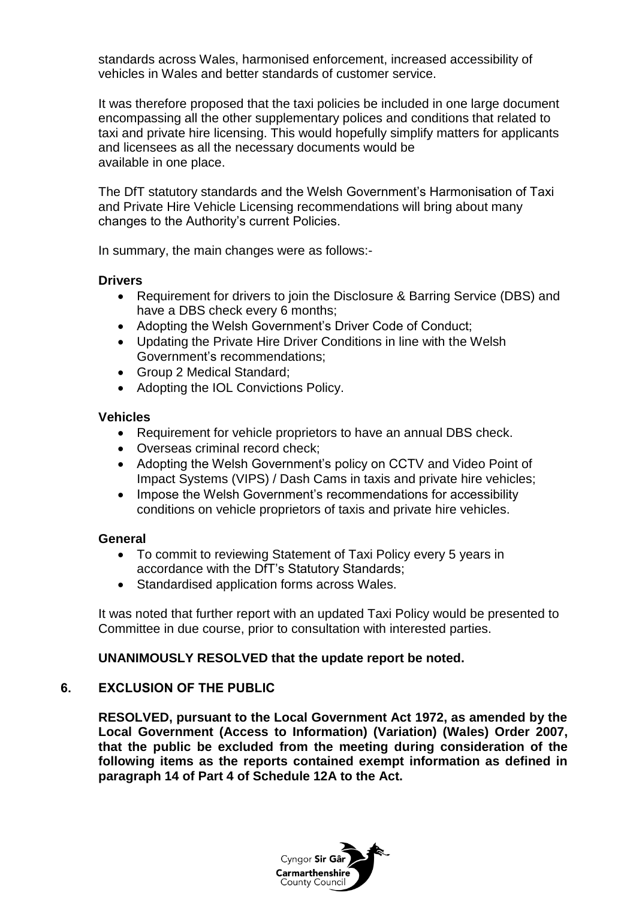standards across Wales, harmonised enforcement, increased accessibility of vehicles in Wales and better standards of customer service.

It was therefore proposed that the taxi policies be included in one large document encompassing all the other supplementary polices and conditions that related to taxi and private hire licensing. This would hopefully simplify matters for applicants and licensees as all the necessary documents would be available in one place.

The DfT statutory standards and the Welsh Government's Harmonisation of Taxi and Private Hire Vehicle Licensing recommendations will bring about many changes to the Authority's current Policies.

In summary, the main changes were as follows:-

#### **Drivers**

- Requirement for drivers to join the Disclosure & Barring Service (DBS) and have a DBS check every 6 months;
- Adopting the Welsh Government's Driver Code of Conduct;
- Updating the Private Hire Driver Conditions in line with the Welsh Government's recommendations;
- Group 2 Medical Standard:
- Adopting the IOL Convictions Policy.

#### **Vehicles**

- Requirement for vehicle proprietors to have an annual DBS check.
- Overseas criminal record check;
- Adopting the Welsh Government's policy on CCTV and Video Point of Impact Systems (VIPS) / Dash Cams in taxis and private hire vehicles;
- Impose the Welsh Government's recommendations for accessibility conditions on vehicle proprietors of taxis and private hire vehicles.

## **General**

- To commit to reviewing Statement of Taxi Policy every 5 years in accordance with the DfT's Statutory Standards;
- Standardised application forms across Wales.

It was noted that further report with an updated Taxi Policy would be presented to Committee in due course, prior to consultation with interested parties.

## **UNANIMOUSLY RESOLVED that the update report be noted.**

# **6. EXCLUSION OF THE PUBLIC**

**RESOLVED, pursuant to the Local Government Act 1972, as amended by the Local Government (Access to Information) (Variation) (Wales) Order 2007, that the public be excluded from the meeting during consideration of the following items as the reports contained exempt information as defined in paragraph 14 of Part 4 of Schedule 12A to the Act.**

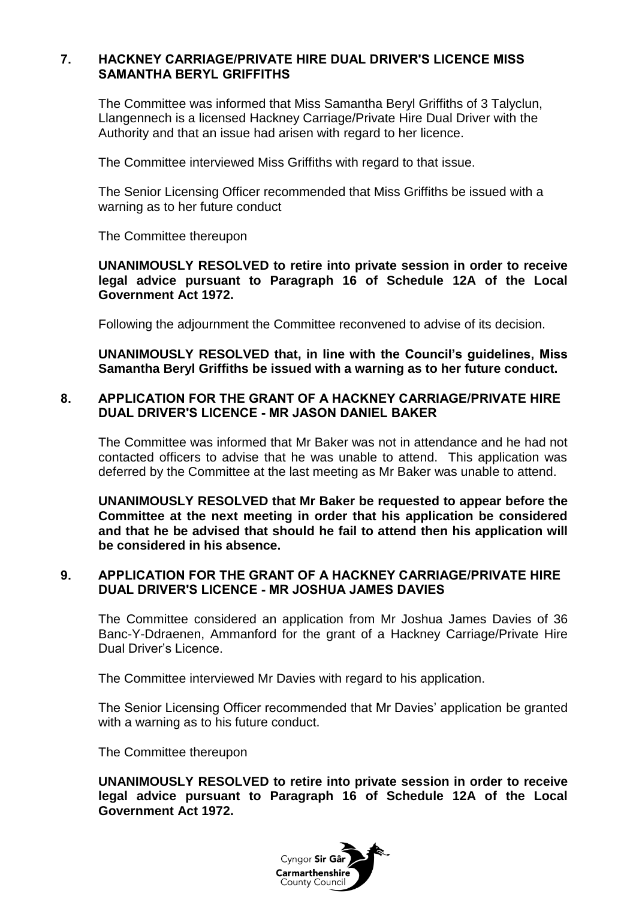## **7. HACKNEY CARRIAGE/PRIVATE HIRE DUAL DRIVER'S LICENCE MISS SAMANTHA BERYL GRIFFITHS**

The Committee was informed that Miss Samantha Beryl Griffiths of 3 Talyclun, Llangennech is a licensed Hackney Carriage/Private Hire Dual Driver with the Authority and that an issue had arisen with regard to her licence.

The Committee interviewed Miss Griffiths with regard to that issue.

The Senior Licensing Officer recommended that Miss Griffiths be issued with a warning as to her future conduct

The Committee thereupon

**UNANIMOUSLY RESOLVED to retire into private session in order to receive legal advice pursuant to Paragraph 16 of Schedule 12A of the Local Government Act 1972.**

Following the adjournment the Committee reconvened to advise of its decision.

**UNANIMOUSLY RESOLVED that, in line with the Council's guidelines, Miss Samantha Beryl Griffiths be issued with a warning as to her future conduct.**

## **8. APPLICATION FOR THE GRANT OF A HACKNEY CARRIAGE/PRIVATE HIRE DUAL DRIVER'S LICENCE - MR JASON DANIEL BAKER**

The Committee was informed that Mr Baker was not in attendance and he had not contacted officers to advise that he was unable to attend. This application was deferred by the Committee at the last meeting as Mr Baker was unable to attend.

**UNANIMOUSLY RESOLVED that Mr Baker be requested to appear before the Committee at the next meeting in order that his application be considered and that he be advised that should he fail to attend then his application will be considered in his absence.** 

## **9. APPLICATION FOR THE GRANT OF A HACKNEY CARRIAGE/PRIVATE HIRE DUAL DRIVER'S LICENCE - MR JOSHUA JAMES DAVIES**

The Committee considered an application from Mr Joshua James Davies of 36 Banc-Y-Ddraenen, Ammanford for the grant of a Hackney Carriage/Private Hire Dual Driver's Licence.

The Committee interviewed Mr Davies with regard to his application.

The Senior Licensing Officer recommended that Mr Davies' application be granted with a warning as to his future conduct.

The Committee thereupon

**UNANIMOUSLY RESOLVED to retire into private session in order to receive legal advice pursuant to Paragraph 16 of Schedule 12A of the Local Government Act 1972.**